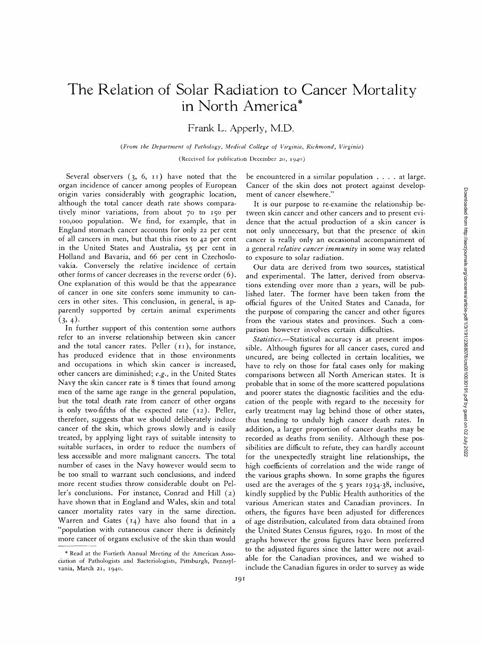# **The Relation of Solar Radiation to Cancer Mortality in North America\***

Frank L. Apperly, M.D.

*(From the Department of Pathology, Medical College of Virginia, Richmond, Virginia)* 

(Received for publication December 20, 1940)

Several observers  $(3, 6, 11)$  have noted that the organ incidence of cancer among peoples of European origin varies considerably with geographic location, although the total cancer death rate shows comparatively minor variations, from about 70 to 150 per Ioo,ooo population. We find, for example, that in England stomach cancer accounts for only 22 per cent of all cancers in men, but that this rises to 42 per cent in the United States and Australia, 55 per cent in Holland and Bavaria, and 66 per cent in Czechoslovakia. Conversely the relative incidence of certain other forms of cancer decreases in the reverse order (6). One explanation of this would be that the appearance of cancer in one site confers some immunity to cancers in other sites. This conclusion, in general, is apparently supported by certain animal experiments  $(3, 4).$ 

In further support of this contention some authors refer to an inverse relationship between skin cancer and the total cancer rates. Peller  $(11)$ , for instance, has produced evidence that in those environments and occupations in which skin cancer is increased, other cancers are diminished; *e.g.,* in the United States Navy the skin cancer rate is 8 times that found among men of the same age range in the general population, but the total death rate from cancer of other organs is only two-fifths of the expected rate (i2). Peller, therefore, suggests that we should deliberately induce cancer of the skin, which grows slowly and is easily treated, by applying light rays of suitable intensity to suitable surfaces, in order to reduce the numbers of less accessible and more malignant cancers. The total number of cases in the Navy however would seem to be too small to warrant such conclusions, and indeed more recent studies throw considerable doubt on Peller's conclusions. For instance, Conrad and Hill (2) have shown that in England and Wales, skin and total cancer mortality rates vary in the same direction. Warren and Gates  $(14)$  have also found that in a "population with cutaneous cancer there is definitely more cancer of organs exclusive of the skin than would

be encountered in a similar population .... at large. Cancer of the skin does not protect against development of cancer elsewhere."

It is our purpose to re-examine the relationship between skin cancer and other cancers and to present evidence that the actual production of a skin cancer is not only unnecessary, but that the presence of skin cancer is really only an occasional accompaniment of a general *relative cancer immunity* in some way related to exposure to solar radiation.

Our data are derived from two sources, statistical and experimental. The latter, derived from observations extending over more than 2 years, will be published later. The former have been taken from the official figures of the United States and Canada, for the purpose of comparing the cancer and other figures from the various states and provinces. Such a comparison however involves certain difficulties.

*Statistics.--Statistical* accuracy is at present impossible. Although figures for all cancer cases, cured and uncured, are being collected in certain localities, we have to rely on those for fatal cases only for making comparisons between all North American states. It is probable that in some of the more scattered populations and poorer states the diagnostic facilities and the education of the people with regard to the necessity for early treatment may lag behind those of other states, thus tending to unduly high cancer death rates. In addition, a larger proportion of cancer deaths may be recorded as deaths from senility. Although these possibilities are difficult to refute, they can hardly account for the unexpectedly straight line relationships, the high coefficients of correlation and the wide range of the various graphs shown. In some graphs the figures used are the averages of the 5 years I934-38, inclusive, kindly supplied by the Public Health authorities of the various American states and Canadian provinces. In others, the figures have been adjusted for differences of age distribution, calculated from data obtained from the United States Census figures, I93o. In most of the graphs however the gross figures have been preferred to the adjusted figures since the latter were not available for the Canadian provinces, and we wished to include the Canadian figures in order to survey as wide

<sup>\*</sup> Read at the Fortieth Annual Meeting of the American Association of Pathologists and Bacteriologists, Pittsburgh, Pennsylvania, March 21, i94o.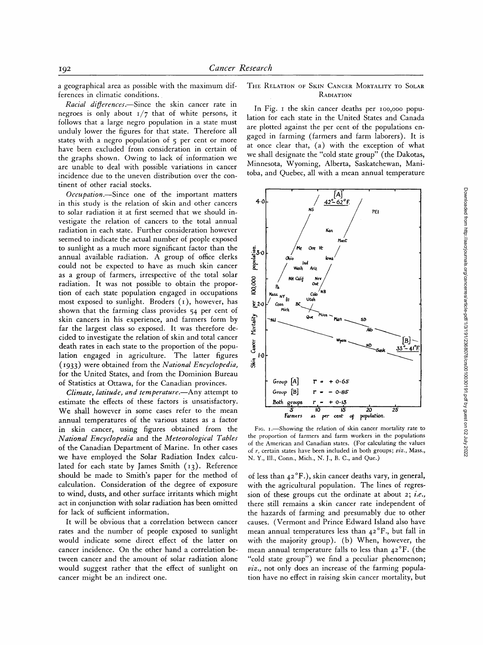a geographical area as possible with the maximum differences in climatic conditions.

*Racial digerences.--Since* the skin cancer rate in negroes is only about  $1/7$  that of white persons, it follows that a large negro population in a state must unduly lower the figures for that state. Therefore all states with a negro population of  $\zeta$  per cent or more have been excluded from consideration in certain of the graphs shown. Owing to lack of information we are unable to deal with possible variations in cancer incidence due to the uneven distribution over the continent of other racial stocks.

*Occupation.--Since* one of the important matters in this study is the relation of skin and other cancers to solar radiation it at first seemed that we should investigate the relation of cancers to the total annual radiation in each state. Further consideration however seemed to indicate the actual number of people exposed to sunlight as a much more significant factor than the annual available radiation. A group of office clerks could not be expected to have as much skin cancer as a group of farmers, irrespective of the total solar radiation. It was not possible to obtain the proportion of each state population engaged in occupations most exposed to sunlight. Broders  $(1)$ , however, has shown that the farming class provides 54 per cent of skin cancers in his experience, and farmers form by far the largest class so exposed. It was therefore decided to investigate the relation of skin and total cancer death rates in each state to the proportion of the population engaged in agriculture. The latter figures (I933) were obtained from the *National Encyclopedia,*  for the United States, and from the Dominion Bureau of Statistics at Ottawa, for the Canadian provinces.

*Climate, latitude, and temperature.--Any* attempt to estimate the effects of these factors is unsatisfactory. We shall however in some cases refer to the mean annual temperatures of the various states as a factor in skin cancer, using figures obtained from the *National Encyclopedia* and the *Meteorological Tables*  of the Canadian Department of Marine. In other cases we have employed the Solar Radiation Index calculated for each state by James Smith  $(13)$ . Reference should be made to Smith's paper for the method of calculation. Consideration of the degree of exposure to wind, dusts, and other surface irritants which might act in conjunction with solar radiation has been omitted for lack of sufficient information.

It will be obvious that a correlation between cancer rates and the number of people exposed to sunlight would indicate some direct effect of the latter on cancer incidence. On the other hand a correlation between cancer and the amount of solar radiation alone would suggest rather that the effect of sunlight on cancer might be an indirect one.

## THE RELATION OF SKIN CANCER MORTALITY TO SOLAR RADIATION

In Fig. i the skin cancer deaths per Ioo,ooo population for each state in the United States and Canada are plotted against the per cent of the populations engaged in farming (farmers and farm laborers). It is at once clear that, (a) with the exception of what we shall designate the "cold state group" (the Dakotas, Minnesota, Wyoming, Alberta, Saskatchewan, Manitoba, and Quebec, all with a mean annual temperature



F<sub>IG</sub>. 1.—Showing the relation of skin cancer mortality rate to the proportion of farmers and farm workers in the populations of the American and Canadian states. (For calculating the values of r, certain states have been included in both groups; *viz.,* Mass., N. Y., I11., Conn., Mich., N. J., B. C., and Que.)

of less than  $42^{\circ}F$ .), skin cancer deaths vary, in general, with the agricultural population. The lines of regression of these groups cut the ordinate at about 2; *i.e.,*  there still remains a skin cancer rate independent of the hazards of farming and presumably due to other causes. (Vermont and Prince Edward Island also have mean annual temperatures less than  $42^{\circ}$ F., but fall in with the majority group). (b) When, however, the mean annual temperature falls to less than  $42^{\circ}$ F. (the "cold state group") we find a peculiar phenomenon; *viz.,* not only does an increase of the farming population have no effect in raising skin cancer mortality, but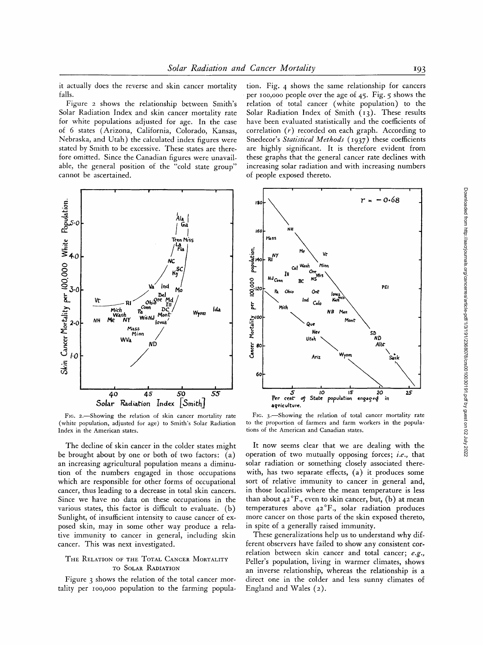it actually does the reverse and skin cancer mortality falls.

Figure 2 shows the relationship between Smith's Solar Radiation Index and skin cancer mortality rate for white populations adjusted for age. In the case of 6 states (Arizona, California, Colorado, Kansas, Nebraska, and Utah) the calculated index figures were stated by Smith to be excessive. These states are therefore omitted. Since the Canadian figures were unavailable, the general position of the "cold state group" cannot be ascertained.



Fig. 2.-Showing the relation of skin cancer mortality rate (white population, adjusted for age) to Smith's Solar Radiation Index in the American states.

The decline of skin cancer in the colder states might be brought about by one or both of two factors: (a) an increasing agricultural population means a diminution of the numbers engaged in those occupations which are responsible for other forms of occupational cancer, thus leading to a decrease in total skin cancers. Since we have no data on these occupations in the various states, this factor is difficult to evaluate. (b) Sunlight, of insufficient intensity to cause cancer of exposed skin, may in some other way produce a relative immunity to cancer in general, including skin cancer. This was next investigated.

## THE RELATION OF THE TOTAL CANCER MORTALITY TO SOLAR RADIATION

Figure 3 shows the relation of the total cancer mortality per 100,000 population to the farming population. Fig. 4 shows the same relationship for cancers per 100,000 people over the age of 45. Fig.  $5$  shows the relation of total cancer (white population) to the Solar Radiation Index of Smith (13). These results have been evaluated statistically and the coefficients of correlation  $(r)$  recorded on each graph. According to Snedecor's Statistical Methods (1937) these coefficients are highly significant. It is therefore evident from these graphs that the general cancer rate declines with increasing solar radiation and with increasing numbers of people exposed thereto.



FIG. 3.-Showing the relation of total cancer mortality rate to the proportion of farmers and farm workers in the populations of the American and Canadian states.

It now seems clear that we are dealing with the operation of two mutually opposing forces; i.e., that solar radiation or something closely associated therewith, has two separate effects, (a) it produces some sort of relative immunity to cancer in general and, in those localities where the mean temperature is less than about  $42^{\circ}$ F., even to skin cancer, but, (b) at mean temperatures above 42°F., solar radiation produces more cancer on those parts of the skin exposed thereto, in spite of a generally raised immunity.

These generalizations help us to understand why different observers have failed to show any consistent correlation between skin cancer and total cancer: e.g., Peller's population, living in warmer climates, shows an inverse relationship, whereas the relationship is a direct one in the colder and less sunny climates of England and Wales  $(2)$ .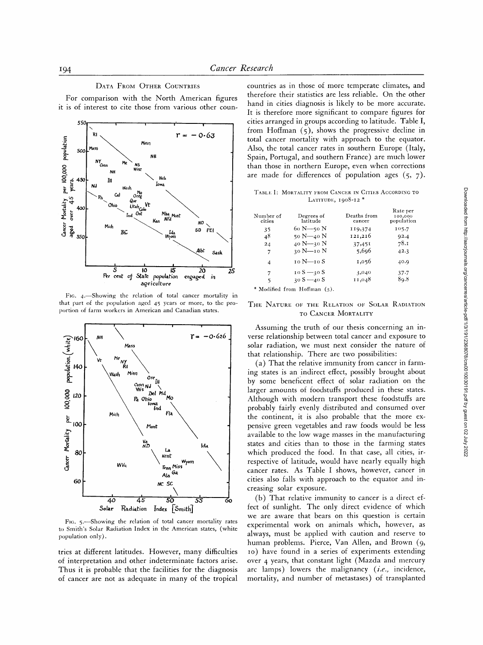## DATA FROM OTHER COUNTRIES

For comparison with the North American figures it is of interest to cite those from various other coun-



Fig. 4. Showing the relation of total cancer mortality in that part of the population aged 45 years or more, to the proportion of farm workers in American and Canadian states.



FIG. 5.-Showing the relation of total cancer mortality rates to Smith's Solar Radiation Index in the American states, (white population only).

tries at different latitudes. However, many difficulties of interpretation and other indeterminate factors arise. Thus it is probable that the facilities for the diagnosis of cancer are not as adequate in many of the tropical

countries as in those of more temperate climates, and therefore their statistics are less reliable. On the other hand in cities diagnosis is likely to be more accurate. It is therefore more significant to compare figures for cities arranged in groups according to latitude. Table I, from Hoffman  $(5)$ , shows the progressive decline in total cancer mortality with approach to the equator. Also, the total cancer rates in southern Europe (Italy, Spain, Portugal, and southern France) are much lower than those in northern Europe, even when corrections are made for differences of population ages  $(5, 7)$ .

TABLE I: MORTALITY FROM CANCER IN CITIES ACCORDING TO LATITUDE, 1908-12\*

| Number of<br>cities | Degrees of<br>latitude | Deaths from<br>cancer | Rate per<br>100,000<br>population |
|---------------------|------------------------|-----------------------|-----------------------------------|
| 35                  | $60 N - 50 N$          | 119,374               | 105.7                             |
| 48                  | 50 N-40 N              | 121,216               | 92.4                              |
| 24                  | 40 N-30 N              | 37,451                | 78.1                              |
| 7                   | 30 N-10 N              | 5,696                 | 42.3                              |
| 4                   | 10 N—10 S              | 1,056                 | 40.9                              |
| 7                   | $10 S - 30 S$          | 3,040                 | $37 - 7$                          |
| 5                   | $30 S - 40 S$          | 11,048                | 89.8                              |

\* Modified from Hoffman (5).

#### THE NATURE OF THE RELATION OF SOLAR RADIATION TO CANCER MORTALITY

Assuming the truth of our thesis concerning an inverse relationship between total cancer and exposure to solar radiation, we must next consider the nature of that relationship. There are two possibilities:

(a) That the relative immunity from cancer in farming states is an indirect effect, possibly brought about by some beneficent effect of solar radiation on the larger amounts of foodstuffs produced in these states. Although with modern transport these foodstuffs are probably fairly evenly distributed and consumed over the continent, it is also probable that the more expensive green vegetables and raw foods would be less available to the low wage masses in the manufacturing states and cities than to those in the farming states which produced the food. In that case, all cities, irrespective of latitude, would have nearly equally high cancer rates. As Table I shows, however, cancer in cities also falls with approach to the equator and increasing solar exposure.

(b) That relative immunity to cancer is a direct effect of sunlight. The only direct evidence of which we are aware that bears on this question is certain experimental work on animals which, however, as always, must be applied with caution and reserve to human problems. Pierce, Van Allen, and Brown (9, 10) have found in a series of experiments extending over 4 years, that constant light (Mazda and mercury arc lamps) lowers the malignancy (i.e., incidence, mortality, and number of metastases) of transplanted